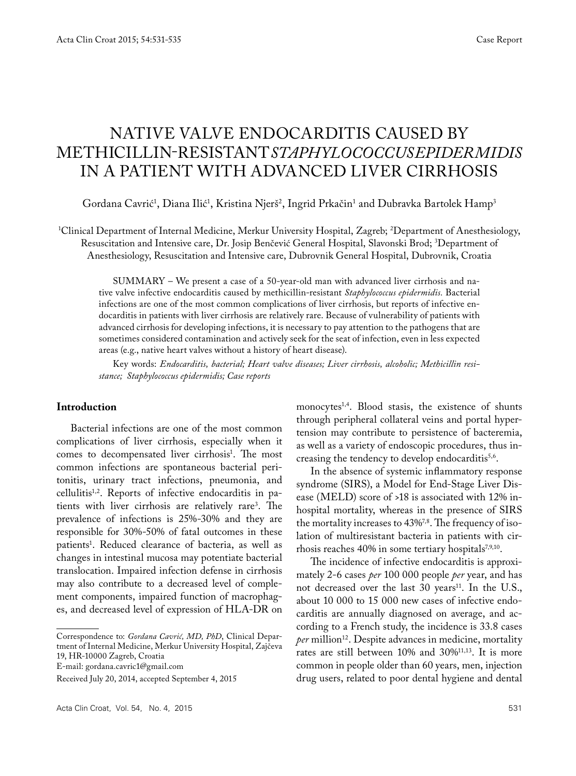# NATIVE VALVE ENDOCARDITIS CAUSED BY METHICILLIN-RESISTANT*STAPHYLOCOCCUS EPIDERMIDIS* IN A PATIENT WITH ADVANCED LIVER CIRRHOSIS

Gordana Cavrić<sup>1</sup>, Diana Ilić<sup>1</sup>, Kristina Njerš<sup>2</sup>, Ingrid Prkačin<sup>1</sup> and Dubravka Bartolek Hamp<sup>3</sup>

1 Clinical Department of Internal Medicine, Merkur University Hospital, Zagreb; 2 Department of Anesthesiology, Resuscitation and Intensive care, Dr. Josip Benčević General Hospital, Slavonski Brod; 3 Department of Anesthesiology, Resuscitation and Intensive care, Dubrovnik General Hospital, Dubrovnik, Croatia

SUMMARY – We present a case of a 50-year-old man with advanced liver cirrhosis and native valve infective endocarditis caused by methicillin-resistant *Staphylococcus epidermidis.* Bacterial infections are one of the most common complications of liver cirrhosis, but reports of infective endocarditis in patients with liver cirrhosis are relatively rare. Because of vulnerability of patients with advanced cirrhosis for developing infections, it is necessary to pay attention to the pathogens that are sometimes considered contamination and actively seek for the seat of infection, even in less expected areas (e.g., native heart valves without a history of heart disease).

Key words: *Endocarditis, bacterial; Heart valve diseases; Liver cirrhosis, alcoholic; Methicillin resistance; Staphylococcus epidermidis; Case reports*

#### **Introduction**

Bacterial infections are one of the most common complications of liver cirrhosis, especially when it comes to decompensated liver cirrhosis<sup>1</sup>. The most common infections are spontaneous bacterial peritonitis, urinary tract infections, pneumonia, and cellulitis1,2. Reports of infective endocarditis in patients with liver cirrhosis are relatively rare<sup>3</sup>. The prevalence of infections is 25%-30% and they are responsible for 30%-50% of fatal outcomes in these patients1 . Reduced clearance of bacteria, as well as changes in intestinal mucosa may potentiate bacterial translocation. Impaired infection defense in cirrhosis may also contribute to a decreased level of complement components, impaired function of macrophages, and decreased level of expression of HLA-DR on

Correspondence to: *Gordana Cavrić, MD, PhD*, Clinical Department of Internal Medicine, Merkur University Hospital, Zajčeva 19, HR-10000 Zagreb, Croatia

E-mail: gordana.cavric1@gmail.com

monocytes<sup>1,4</sup>. Blood stasis, the existence of shunts through peripheral collateral veins and portal hypertension may contribute to persistence of bacteremia, as well as a variety of endoscopic procedures, thus increasing the tendency to develop endocarditis<sup>5,6</sup>.

In the absence of systemic inflammatory response syndrome (SIRS), a Model for End-Stage Liver Disease (MELD) score of >18 is associated with 12% inhospital mortality, whereas in the presence of SIRS the mortality increases to 43%<sup>7,8</sup>. The frequency of isolation of multiresistant bacteria in patients with cirrhosis reaches 40% in some tertiary hospitals $7,9,10$ .

The incidence of infective endocarditis is approximately 2-6 cases *per* 100 000 people *per* year, and has not decreased over the last 30 years<sup>11</sup>. In the U.S., about 10 000 to 15 000 new cases of infective endocarditis are annually diagnosed on average, and according to a French study, the incidence is 33.8 cases *per* million<sup>12</sup>. Despite advances in medicine, mortality rates are still between 10% and 30%11,13. It is more common in people older than 60 years, men, injection drug users, related to poor dental hygiene and dental

Received July 20, 2014, accepted September 4, 2015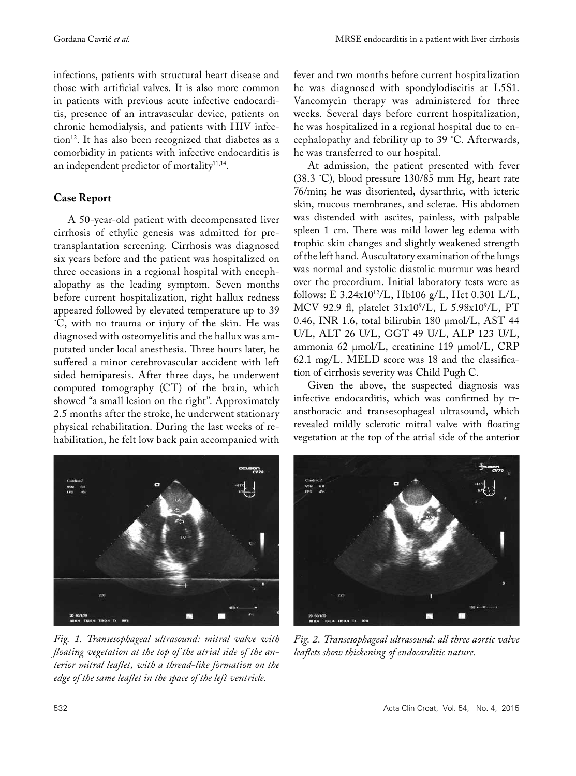infections, patients with structural heart disease and those with artificial valves. It is also more common in patients with previous acute infective endocarditis, presence of an intravascular device, patients on chronic hemodialysis, and patients with HIV infection<sup>12</sup>. It has also been recognized that diabetes as a comorbidity in patients with infective endocarditis is an independent predictor of mortality<sup>11,14</sup>.

## **Case Report**

A 50-year-old patient with decompensated liver cirrhosis of ethylic genesis was admitted for pretransplantation screening. Cirrhosis was diagnosed six years before and the patient was hospitalized on three occasions in a regional hospital with encephalopathy as the leading symptom. Seven months before current hospitalization, right hallux redness appeared followed by elevated temperature up to 39 ˚C, with no trauma or injury of the skin. He was diagnosed with osteomyelitis and the hallux was amputated under local anesthesia. Three hours later, he suffered a minor cerebrovascular accident with left sided hemiparesis. After three days, he underwent computed tomography (CT) of the brain, which showed "a small lesion on the right". Approximately 2.5 months after the stroke, he underwent stationary physical rehabilitation. During the last weeks of rehabilitation, he felt low back pain accompanied with

fever and two months before current hospitalization he was diagnosed with spondylodiscitis at L5S1. Vancomycin therapy was administered for three weeks. Several days before current hospitalization, he was hospitalized in a regional hospital due to encephalopathy and febrility up to 39 ˚C. Afterwards, he was transferred to our hospital.

At admission, the patient presented with fever (38.3 ˚C), blood pressure 130/85 mm Hg, heart rate 76/min; he was disoriented, dysarthric, with icteric skin, mucous membranes, and sclerae. His abdomen was distended with ascites, painless, with palpable spleen 1 cm. There was mild lower leg edema with trophic skin changes and slightly weakened strength of the left hand. Auscultatory examination of the lungs was normal and systolic diastolic murmur was heard over the precordium. Initial laboratory tests were as follows: E 3.24x1012/L, Hb106 g/L, Hct 0.301 L/L, MCV 92.9 fl, platelet 31x10<sup>9</sup>/L, L 5.98x10<sup>9</sup>/L, PT 0.46, INR 1.6, total bilirubin 180 μmol/L, AST 44 U/L, ALT 26 U/L, GGT 49 U/L, ALP 123 U/L, ammonia 62 μmol/L, creatinine 119 μmol/L, CRP 62.1 mg/L. MELD score was 18 and the classification of cirrhosis severity was Child Pugh C.

Given the above, the suspected diagnosis was infective endocarditis, which was confirmed by transthoracic and transesophageal ultrasound, which revealed mildly sclerotic mitral valve with floating vegetation at the top of the atrial side of the anterior



*Fig. 1. Transesophageal ultrasound: mitral valve with floating vegetation at the top of the atrial side of the anterior mitral leaflet, with a thread-like formation on the edge of the same leaflet in the space of the left ventricle.*



*Fig. 2. Transesophageal ultrasound: all three aortic valve leaflets show thickening of endocarditic nature.*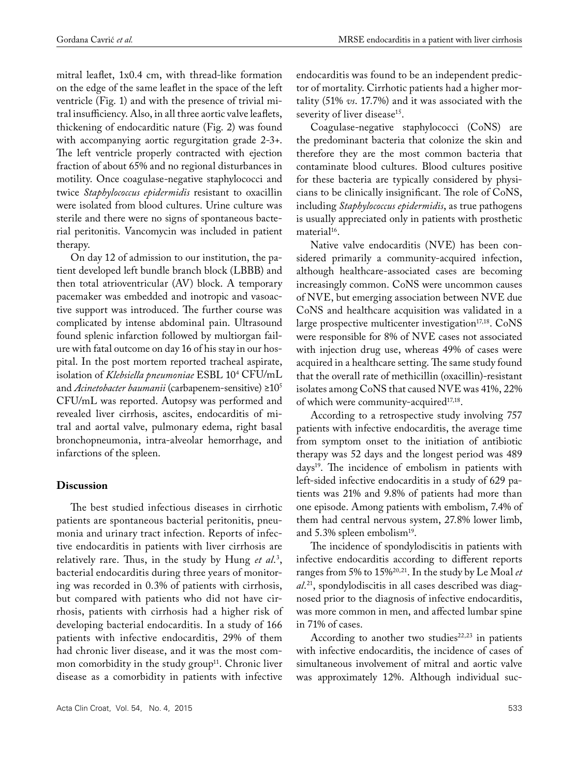mitral leaflet, 1x0.4 cm, with thread-like formation on the edge of the same leaflet in the space of the left ventricle (Fig. 1) and with the presence of trivial mitral insufficiency. Also, in all three aortic valve leaflets, thickening of endocarditic nature (Fig. 2) was found with accompanying aortic regurgitation grade 2-3+. The left ventricle properly contracted with ejection fraction of about 65% and no regional disturbances in motility. Once coagulase-negative staphylococci and twice *Staphylococcus epidermidis* resistant to oxacillin were isolated from blood cultures. Urine culture was sterile and there were no signs of spontaneous bacterial peritonitis. Vancomycin was included in patient therapy.

On day 12 of admission to our institution, the patient developed left bundle branch block (LBBB) and then total atrioventricular (AV) block. A temporary pacemaker was embedded and inotropic and vasoactive support was introduced. The further course was complicated by intense abdominal pain. Ultrasound found splenic infarction followed by multiorgan failure with fatal outcome on day 16 of his stay in our hospital. In the post mortem reported tracheal aspirate, isolation of *Klebsiella pneumoniae* ESBL 104 CFU/mL and *Acinetobacter baumanii* (carbapenem-sensitive) ≥105 CFU/mL was reported. Autopsy was performed and revealed liver cirrhosis, ascites, endocarditis of mitral and aortal valve, pulmonary edema, right basal bronchopneumonia, intra-alveolar hemorrhage, and infarctions of the spleen.

#### **Discussion**

The best studied infectious diseases in cirrhotic patients are spontaneous bacterial peritonitis, pneumonia and urinary tract infection. Reports of infective endocarditis in patients with liver cirrhosis are relatively rare. Thus, in the study by Hung *et al*. 3 , bacterial endocarditis during three years of monitoring was recorded in 0.3% of patients with cirrhosis, but compared with patients who did not have cirrhosis, patients with cirrhosis had a higher risk of developing bacterial endocarditis. In a study of 166 patients with infective endocarditis, 29% of them had chronic liver disease, and it was the most common comorbidity in the study group<sup>11</sup>. Chronic liver disease as a comorbidity in patients with infective

Acta Clin Croat, Vol. 54, No. 4, 2015 **533** 

endocarditis was found to be an independent predictor of mortality. Cirrhotic patients had a higher mortality (51% *vs*. 17.7%) and it was associated with the severity of liver disease<sup>15</sup>.

Coagulase-negative staphylococci (CoNS) are the predominant bacteria that colonize the skin and therefore they are the most common bacteria that contaminate blood cultures. Blood cultures positive for these bacteria are typically considered by physicians to be clinically insignificant. The role of CoNS, including *Staphylococcus epidermidis*, as true pathogens is usually appreciated only in patients with prosthetic material<sup>16</sup>.

Native valve endocarditis (NVE) has been considered primarily a community-acquired infection, although healthcare-associated cases are becoming increasingly common. CoNS were uncommon causes of NVE, but emerging association between NVE due CoNS and healthcare acquisition was validated in a large prospective multicenter investigation<sup>17,18</sup>. CoNS were responsible for 8% of NVE cases not associated with injection drug use, whereas 49% of cases were acquired in a healthcare setting. The same study found that the overall rate of methicillin (oxacillin)-resistant isolates among CoNS that caused NVE was 41%, 22% of which were community-acquired<sup>17,18</sup>.

According to a retrospective study involving 757 patients with infective endocarditis, the average time from symptom onset to the initiation of antibiotic therapy was 52 days and the longest period was 489 days19. The incidence of embolism in patients with left-sided infective endocarditis in a study of 629 patients was 21% and 9.8% of patients had more than one episode. Among patients with embolism, 7.4% of them had central nervous system, 27.8% lower limb, and 5.3% spleen embolism<sup>19</sup>.

The incidence of spondylodiscitis in patients with infective endocarditis according to different reports ranges from 5% to 15%20,21. In the study by Le Moal *et al*. 21, spondylodiscitis in all cases described was diagnosed prior to the diagnosis of infective endocarditis, was more common in men, and affected lumbar spine in 71% of cases.

According to another two studies $22,23$  in patients with infective endocarditis, the incidence of cases of simultaneous involvement of mitral and aortic valve was approximately 12%. Although individual suc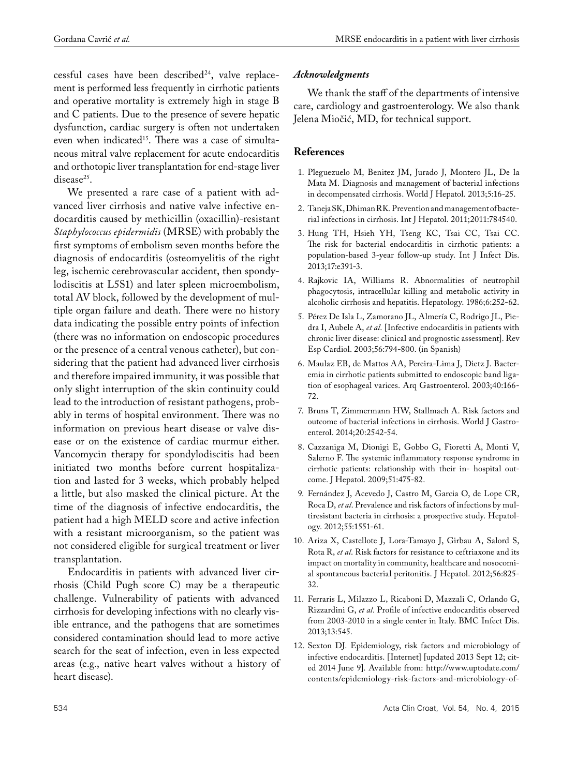cessful cases have been described $24$ , valve replacement is performed less frequently in cirrhotic patients and operative mortality is extremely high in stage B and C patients. Due to the presence of severe hepatic dysfunction, cardiac surgery is often not undertaken even when indicated<sup>15</sup>. There was a case of simultaneous mitral valve replacement for acute endocarditis and orthotopic liver transplantation for end-stage liver disease<sup>25</sup>.

We presented a rare case of a patient with advanced liver cirrhosis and native valve infective endocarditis caused by methicillin (oxacillin)-resistant *Staphylococcus epidermidis* (MRSE) with probably the first symptoms of embolism seven months before the diagnosis of endocarditis (osteomyelitis of the right leg, ischemic cerebrovascular accident, then spondylodiscitis at L5S1) and later spleen microembolism, total AV block, followed by the development of multiple organ failure and death. There were no history data indicating the possible entry points of infection (there was no information on endoscopic procedures or the presence of a central venous catheter), but considering that the patient had advanced liver cirrhosis and therefore impaired immunity, it was possible that only slight interruption of the skin continuity could lead to the introduction of resistant pathogens, probably in terms of hospital environment. There was no information on previous heart disease or valve disease or on the existence of cardiac murmur either. Vancomycin therapy for spondylodiscitis had been initiated two months before current hospitalization and lasted for 3 weeks, which probably helped a little, but also masked the clinical picture. At the time of the diagnosis of infective endocarditis, the patient had a high MELD score and active infection with a resistant microorganism, so the patient was not considered eligible for surgical treatment or liver transplantation.

Endocarditis in patients with advanced liver cirrhosis (Child Pugh score C) may be a therapeutic challenge. Vulnerability of patients with advanced cirrhosis for developing infections with no clearly visible entrance, and the pathogens that are sometimes considered contamination should lead to more active search for the seat of infection, even in less expected areas (e.g., native heart valves without a history of heart disease).

#### *Acknowledgments*

We thank the staff of the departments of intensive care, cardiology and gastroenterology. We also thank Jelena Miočić, MD, for technical support.

## **References**

- 1. Pleguezuelo M, Benitez JM, Jurado J, Montero JL, De la Mata M. Diagnosis and management of bacterial infections in decompensated cirrhosis. World J Hepatol. 2013;5:16-25.
- 2. Taneja SK, Dhiman RK. Prevention and management of bacterial infections in cirrhosis. Int J Hepatol. 2011;2011:784540.
- 3. Hung TH, Hsieh YH, Tseng KC, Tsai CC, Tsai CC. The risk for bacterial endocarditis in cirrhotic patients: a population-based 3-year follow-up study. Int J Infect Dis. 2013;17:e391-3.
- 4. Rajkovic IA, Williams R. Abnormalities of neutrophil phagocytosis, intracellular killing and metabolic activity in alcoholic cirrhosis and hepatitis. Hepatology. 1986;6:252-62.
- 5. Pérez De Isla L, Zamorano JL, Almería C, Rodrigo JL, Piedra I, Aubele A, *et al*. [Infective endocarditis in patients with chronic liver disease: clinical and prognostic assessment]. Rev Esp Cardiol. 2003;56:794-800. (in Spanish)
- 6. Maulaz EB, de Mattos AA, Pereira-Lima J, Dietz J. Bacteremia in cirrhotic patients submitted to endoscopic band ligation of esophageal varices. Arq Gastroenterol. 2003;40:166- 72.
- 7. Bruns T, Zimmermann HW, Stallmach A. Risk factors and outcome of bacterial infections in cirrhosis. World J Gastroenterol. 2014;20:2542-54.
- 8. Cazzaniga M, Dionigi E, Gobbo G, Fioretti A, Monti V, Salerno F. The systemic inflammatory response syndrome in cirrhotic patients: relationship with their in- hospital outcome. J Hepatol. 2009;51:475-82.
- 9. Fernández J, Acevedo J, Castro M, Garcia O, de Lope CR, Roca D, *et al*. Prevalence and risk factors of infections by multiresistant bacteria in cirrhosis: a prospective study. Hepatology. 2012;55:1551-61.
- 10. Ariza X, Castellote J, Lora-Tamayo J, Girbau A, Salord S, Rota R, *et al*. Risk factors for resistance to ceftriaxone and its impact on mortality in community, healthcare and nosocomial spontaneous bacterial peritonitis. J Hepatol. 2012;56:825- 32.
- 11. Ferraris L, Milazzo L, Ricaboni D, Mazzali C, Orlando G, Rizzardini G, *et al*. Profile of infective endocarditis observed from 2003-2010 in a single center in Italy. BMC Infect Dis. 2013;13:545.
- 12. Sexton DJ. Epidemiology, risk factors and microbiology of infective endocarditis. [Internet] [updated 2013 Sept 12; cited 2014 June 9]. Available from: http://www.uptodate.com/ contents/epidemiology-risk-factors-and-microbiology-of-